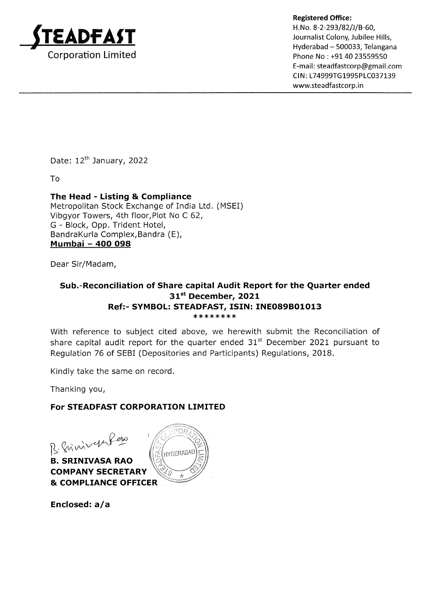

Registered Office:<br>H.No. 8-2-293/82/J/B-60,<br>Journalist Colony, Jubilee Hills, Hyderabad – 500033, Telangana Phone No : +91 40 23559550 E-mail : steadfastcorp@gmail.com CIN: L74999TG1995PLC037139 www,steadfastcorp.in

Date: 12<sup>th</sup> January, 2022

To

## The Head - Listing & Compliance

Metropolitan Stock Exchange of India Ltd. (MSEI) Vibgyor Towers, 4th floor,Plot No C 62, G - Block, Opp. Trident Hotel, BandraKurla Complex,Bandra (E), Mumbai - 4OO O98

Dear Sir/Madam,

## Sub.-Reconciliation of Share capital Audit Report for the Quarter ended 31st December, 2021 Ref:- SYMBOL: STEADFAST, ISIN: INEO89BO1O13 \* \* \*\*\* \*\*\*

With reference to subject cited above, we herewith submit the Reconciliation of share capital audit report for the quarter ended  $31<sup>st</sup>$  December 2021 pursuant to Regulation 76 of SEBI (Depositories and Participants) Regulations, 2018.

Kindly take the same on record.

Thanking you,

## For STEADFAST CORPORATION LIMITED

 $\beta$ .  $\sqrt[3]{\alpha \nu^2}$  -  $\sqrt{\frac{2}{\pi}}$  (HYDERABAD

B. SRINIVASA RAO COMPANY SECRETARY & COMPLIANCE OFFICER

Enclosed:  $a/a$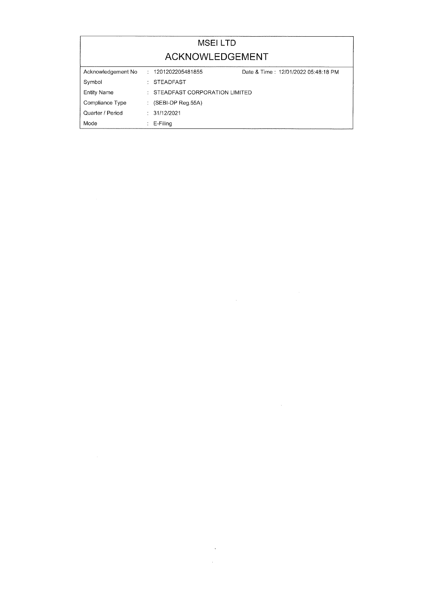|                    | <b>MSELLTD</b>                      |                                     |
|--------------------|-------------------------------------|-------------------------------------|
|                    | ACKNOWLEDGEMENT                     |                                     |
| Acknowledgement No | : 1201202205481855                  | Date & Time: 12/01/2022 05:48:18 PM |
| Symbol             | : STEADFAST                         |                                     |
| <b>Entity Name</b> | $\pm$ STEADEAST CORPORATION LIMITED |                                     |
| Compliance Type    | $(SEBI-DP$ Req.55A)                 |                                     |
| Quarter / Period   | : 31/12/2021                        |                                     |
| Mode               | E-Filing                            |                                     |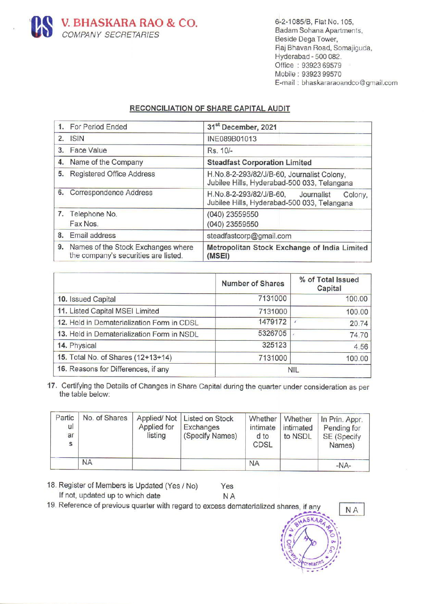

6-2-1085/B, Flat No. 105, Badam Sohana Apartments, Beside Dega Tower, Raj Bhavan Road, Somajiguda, Hyderabad - 500 082. Office : 93923 69579 Mobile : 93923 99570 E-mail : bhaskararaoandco @gmail.com

## RECONCILIATION OF SHARE CAPITAL AUDIT

|                              | V. BHASKARA RAO & CO.<br><b>COMPANY SECRETARIES</b>                                                                     |                                       |                                                        |                                                                                                 |                                            | Beside Dega Tower,<br>Hyderabad - 500 082.<br>Office: 93923 69579<br>Mobile: 93923 99570  | 6-2-1085/B, Flat No. 105,<br>Badam Sohana Apartments,<br>Raj Bhavan Road, Somajiguda,<br>E-mail: bhaskararaoandco@gr |
|------------------------------|-------------------------------------------------------------------------------------------------------------------------|---------------------------------------|--------------------------------------------------------|-------------------------------------------------------------------------------------------------|--------------------------------------------|-------------------------------------------------------------------------------------------|----------------------------------------------------------------------------------------------------------------------|
|                              |                                                                                                                         | RECONCILIATION OF SHARE CAPITAL AUDIT |                                                        |                                                                                                 |                                            |                                                                                           |                                                                                                                      |
| 1.                           | <b>For Period Ended</b>                                                                                                 |                                       |                                                        |                                                                                                 | 31 <sup>st</sup> December, 2021            |                                                                                           |                                                                                                                      |
| 2.<br><b>ISIN</b>            |                                                                                                                         |                                       |                                                        | INE089B01013                                                                                    |                                            |                                                                                           |                                                                                                                      |
| 3.                           | <b>Face Value</b>                                                                                                       |                                       |                                                        | Rs. 10/-                                                                                        |                                            |                                                                                           |                                                                                                                      |
| 4.                           | Name of the Company                                                                                                     |                                       |                                                        |                                                                                                 | <b>Steadfast Corporation Limited</b>       |                                                                                           |                                                                                                                      |
| 5.                           | <b>Registered Office Address</b>                                                                                        |                                       |                                                        |                                                                                                 |                                            | H.No.8-2-293/82/J/B-60, Journalist Colony,<br>Jubilee Hills, Hyderabad-500 033, Telangana |                                                                                                                      |
| Correspondence Address<br>6. |                                                                                                                         |                                       |                                                        | H.No.8-2-293/82/J/B-60,<br>Journalist<br>Colony,<br>Jubilee Hills, Hyderabad-500 033, Telangana |                                            |                                                                                           |                                                                                                                      |
|                              | 7. Telephone No.<br>Fax Nos.                                                                                            |                                       |                                                        | (040) 23559550<br>(040) 23559550                                                                |                                            |                                                                                           |                                                                                                                      |
| 8.                           | Email address                                                                                                           |                                       |                                                        |                                                                                                 | steadfastcorp@gmail.com                    |                                                                                           |                                                                                                                      |
| 9.                           | Names of the Stock Exchanges where<br>the company's securities are listed.                                              |                                       |                                                        | (MSEI)                                                                                          |                                            |                                                                                           | Metropolitan Stock Exchange of India Limited                                                                         |
|                              |                                                                                                                         |                                       |                                                        |                                                                                                 | <b>Number of Shares</b>                    |                                                                                           | % of Total Issued<br>Capital                                                                                         |
|                              | 10. Issued Capital                                                                                                      |                                       |                                                        |                                                                                                 | 7131000                                    |                                                                                           | 100.00                                                                                                               |
|                              | 11. Listed Capital MSEI Limited                                                                                         |                                       |                                                        | 7131000                                                                                         |                                            | 100.00                                                                                    |                                                                                                                      |
|                              | 12. Held in Dematerialization Form in CDSL                                                                              |                                       |                                                        | 1479172<br>v                                                                                    |                                            | 20.74                                                                                     |                                                                                                                      |
|                              | 13. Held in Dematerialization Form in NSDL                                                                              |                                       |                                                        |                                                                                                 | 5326705                                    |                                                                                           | 74.70                                                                                                                |
| 14. Physical                 |                                                                                                                         |                                       |                                                        |                                                                                                 | 325123                                     |                                                                                           | 4.56                                                                                                                 |
|                              | 15. Total No. of Shares (12+13+14)                                                                                      |                                       |                                                        |                                                                                                 | 7131000                                    |                                                                                           | 100.00                                                                                                               |
|                              | 16. Reasons for Differences, if any                                                                                     |                                       |                                                        |                                                                                                 |                                            | <b>NIL</b>                                                                                |                                                                                                                      |
|                              | 7. Certifying the Details of Changes in Share Capital during the quarter under consideration as per<br>the table below: |                                       |                                                        |                                                                                                 |                                            |                                                                                           |                                                                                                                      |
| Partic<br>ul<br>ar<br>s      | No. of Shares                                                                                                           | Applied/Not<br>Applied for<br>listing | <b>Listed on Stock</b><br>Exchanges<br>(Specify Names) |                                                                                                 | Whether<br>intimate<br>d to<br><b>CDSL</b> | Whether<br>intimated<br>to NSDL                                                           | In Prin. Appr.<br>Pending for<br>SE (Specify<br>Names)                                                               |

|                                            | <b>Number of Shares</b> | % of Total Issued<br>Capital |
|--------------------------------------------|-------------------------|------------------------------|
| 10. Issued Capital                         | 7131000                 | 100.00                       |
| 11. Listed Capital MSEI Limited            | 7131000                 | 100.00                       |
| 12. Held in Dematerialization Form in CDSL | 1479172                 | 20.74                        |
| 13. Held in Dematerialization Form in NSDL | 5326705                 | 74.70                        |
| 14. Physical                               | 325123                  | 4.56                         |
| 15. Total No. of Shares (12+13+14)         | 7131000                 | 100.00                       |
| 16. Reasons for Differences, if any        |                         | <b>NIL</b>                   |

| Partic<br>ul<br>ar<br>S | No. of Shares | Applied for<br>listing | Applied/Not   Listed on Stock<br>Exchanges<br>(Specify Names) | intimate<br>d to<br><b>CDSL</b> | intimated<br>to NSDL | Whether   Whether   In Prin. Appr.<br>Pending for<br>SE (Specify<br>Names) |
|-------------------------|---------------|------------------------|---------------------------------------------------------------|---------------------------------|----------------------|----------------------------------------------------------------------------|
|                         | <b>NA</b>     |                        |                                                               | <b>NA</b>                       |                      | $-NA-$                                                                     |

18. Register of Members is Updated (Yes / No) Yes If not, updated up to which date NA

19. Reference of previous quarter with regard to excess dematerialized shares, if any



 $\overline{a}$